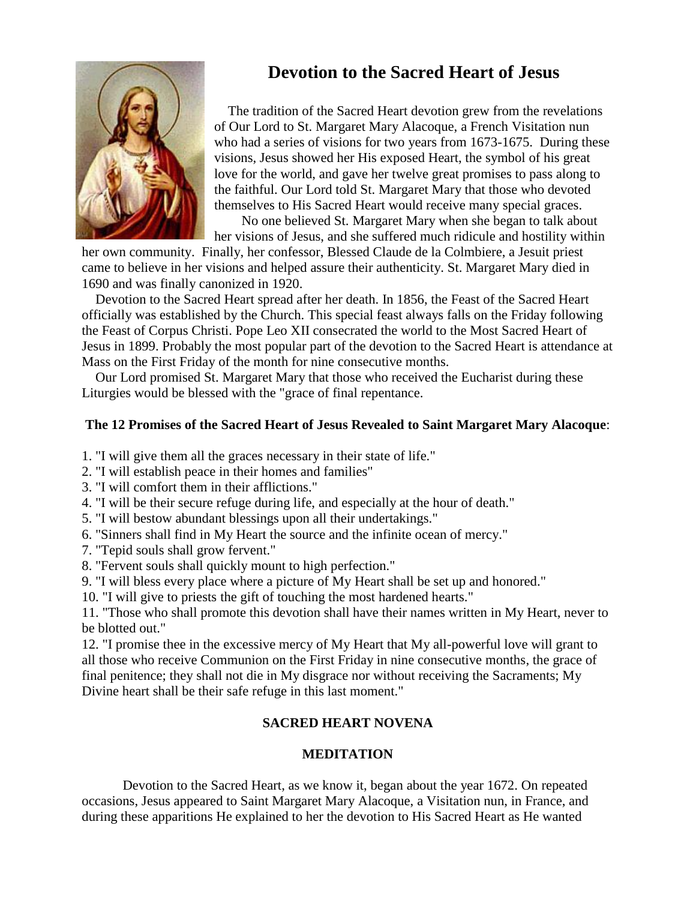

# **Devotion to the Sacred Heart of Jesus**

 The tradition of the Sacred Heart devotion grew from the revelations of Our Lord to St. Margaret Mary Alacoque, a French Visitation nun who had a series of visions for two years from 1673-1675. During these visions, Jesus showed her His exposed Heart, the symbol of his great love for the world, and gave her twelve great promises to pass along to the faithful. Our Lord told St. Margaret Mary that those who devoted themselves to His Sacred Heart would receive many special graces.

 No one believed St. Margaret Mary when she began to talk about her visions of Jesus, and she suffered much ridicule and hostility within

her own community. Finally, her confessor, Blessed Claude de la Colmbiere, a Jesuit priest came to believe in her visions and helped assure their authenticity. St. Margaret Mary died in 1690 and was finally canonized in 1920.

 Devotion to the Sacred Heart spread after her death. In 1856, the Feast of the Sacred Heart officially was established by the Church. This special feast always falls on the Friday following the Feast of Corpus Christi. Pope Leo XII consecrated the world to the Most Sacred Heart of Jesus in 1899. Probably the most popular part of the devotion to the Sacred Heart is attendance at Mass on the First Friday of the month for nine consecutive months.

 Our Lord promised St. Margaret Mary that those who received the Eucharist during these Liturgies would be blessed with the "grace of final repentance.

# **The 12 Promises of the Sacred Heart of Jesus Revealed to Saint Margaret Mary Alacoque**:

1. "I will give them all the graces necessary in their state of life."

- 2. "I will establish peace in their homes and families"
- 3. "I will comfort them in their afflictions."
- 4. "I will be their secure refuge during life, and especially at the hour of death."
- 5. "I will bestow abundant blessings upon all their undertakings."
- 6. "Sinners shall find in My Heart the source and the infinite ocean of mercy."
- 7. "Tepid souls shall grow fervent."
- 8. "Fervent souls shall quickly mount to high perfection."
- 9. "I will bless every place where a picture of My Heart shall be set up and honored."
- 10. "I will give to priests the gift of touching the most hardened hearts."

11. "Those who shall promote this devotion shall have their names written in My Heart, never to be blotted out."

12. "I promise thee in the excessive mercy of My Heart that My all-powerful love will grant to all those who receive Communion on the First Friday in nine consecutive months, the grace of final penitence; they shall not die in My disgrace nor without receiving the Sacraments; My Divine heart shall be their safe refuge in this last moment."

# **SACRED HEART NOVENA**

# **MEDITATION**

Devotion to the Sacred Heart, as we know it, began about the year 1672. On repeated occasions, Jesus appeared to Saint Margaret Mary Alacoque, a Visitation nun, in France, and during these apparitions He explained to her the devotion to His Sacred Heart as He wanted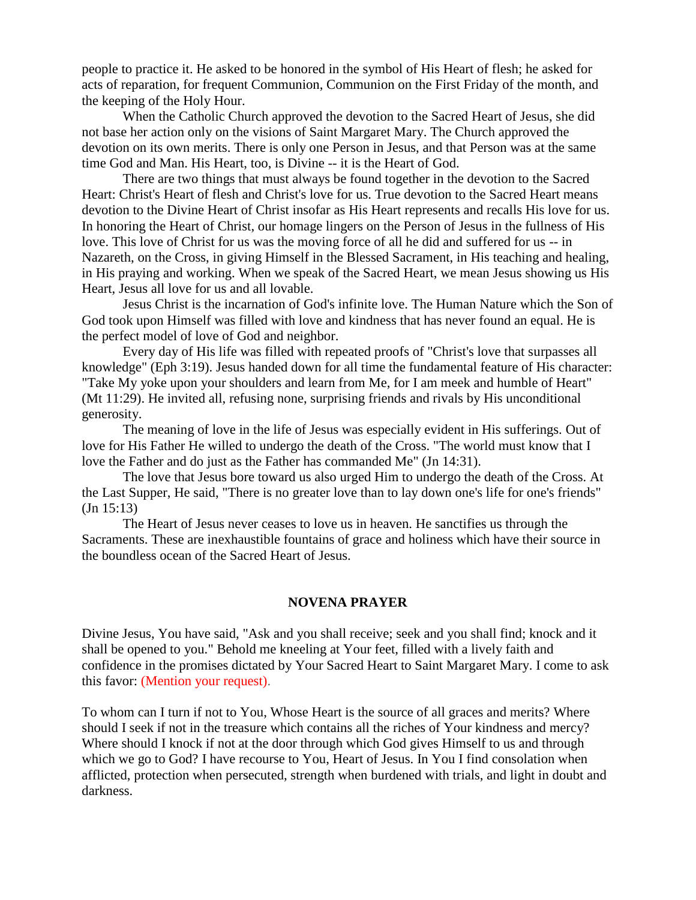people to practice it. He asked to be honored in the symbol of His Heart of flesh; he asked for acts of reparation, for frequent Communion, Communion on the First Friday of the month, and the keeping of the Holy Hour.

When the Catholic Church approved the devotion to the Sacred Heart of Jesus, she did not base her action only on the visions of Saint Margaret Mary. The Church approved the devotion on its own merits. There is only one Person in Jesus, and that Person was at the same time God and Man. His Heart, too, is Divine -- it is the Heart of God.

There are two things that must always be found together in the devotion to the Sacred Heart: Christ's Heart of flesh and Christ's love for us. True devotion to the Sacred Heart means devotion to the Divine Heart of Christ insofar as His Heart represents and recalls His love for us. In honoring the Heart of Christ, our homage lingers on the Person of Jesus in the fullness of His love. This love of Christ for us was the moving force of all he did and suffered for us -- in Nazareth, on the Cross, in giving Himself in the Blessed Sacrament, in His teaching and healing, in His praying and working. When we speak of the Sacred Heart, we mean Jesus showing us His Heart, Jesus all love for us and all lovable.

Jesus Christ is the incarnation of God's infinite love. The Human Nature which the Son of God took upon Himself was filled with love and kindness that has never found an equal. He is the perfect model of love of God and neighbor.

Every day of His life was filled with repeated proofs of "Christ's love that surpasses all knowledge" (Eph 3:19). Jesus handed down for all time the fundamental feature of His character: "Take My yoke upon your shoulders and learn from Me, for I am meek and humble of Heart" (Mt 11:29). He invited all, refusing none, surprising friends and rivals by His unconditional generosity.

The meaning of love in the life of Jesus was especially evident in His sufferings. Out of love for His Father He willed to undergo the death of the Cross. "The world must know that I love the Father and do just as the Father has commanded Me" (Jn 14:31).

The love that Jesus bore toward us also urged Him to undergo the death of the Cross. At the Last Supper, He said, "There is no greater love than to lay down one's life for one's friends" (Jn 15:13)

The Heart of Jesus never ceases to love us in heaven. He sanctifies us through the Sacraments. These are inexhaustible fountains of grace and holiness which have their source in the boundless ocean of the Sacred Heart of Jesus.

#### **NOVENA PRAYER**

Divine Jesus, You have said, "Ask and you shall receive; seek and you shall find; knock and it shall be opened to you." Behold me kneeling at Your feet, filled with a lively faith and confidence in the promises dictated by Your Sacred Heart to Saint Margaret Mary. I come to ask this favor: (Mention your request).

To whom can I turn if not to You, Whose Heart is the source of all graces and merits? Where should I seek if not in the treasure which contains all the riches of Your kindness and mercy? Where should I knock if not at the door through which God gives Himself to us and through which we go to God? I have recourse to You, Heart of Jesus. In You I find consolation when afflicted, protection when persecuted, strength when burdened with trials, and light in doubt and darkness.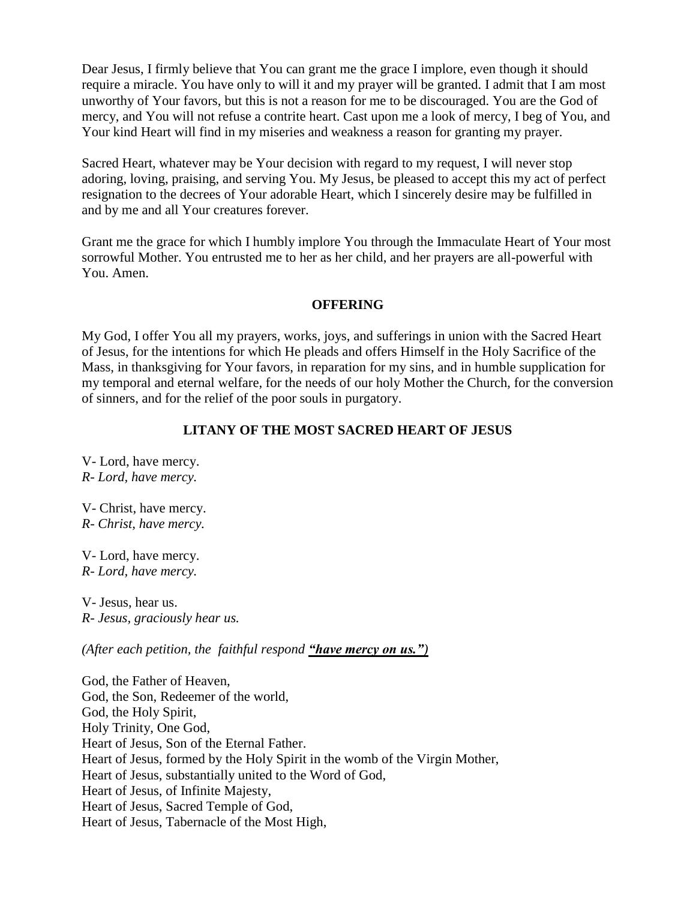Dear Jesus, I firmly believe that You can grant me the grace I implore, even though it should require a miracle. You have only to will it and my prayer will be granted. I admit that I am most unworthy of Your favors, but this is not a reason for me to be discouraged. You are the God of mercy, and You will not refuse a contrite heart. Cast upon me a look of mercy, I beg of You, and Your kind Heart will find in my miseries and weakness a reason for granting my prayer.

Sacred Heart, whatever may be Your decision with regard to my request, I will never stop adoring, loving, praising, and serving You. My Jesus, be pleased to accept this my act of perfect resignation to the decrees of Your adorable Heart, which I sincerely desire may be fulfilled in and by me and all Your creatures forever.

Grant me the grace for which I humbly implore You through the Immaculate Heart of Your most sorrowful Mother. You entrusted me to her as her child, and her prayers are all-powerful with You. Amen.

#### **OFFERING**

My God, I offer You all my prayers, works, joys, and sufferings in union with the Sacred Heart of Jesus, for the intentions for which He pleads and offers Himself in the Holy Sacrifice of the Mass, in thanksgiving for Your favors, in reparation for my sins, and in humble supplication for my temporal and eternal welfare, for the needs of our holy Mother the Church, for the conversion of sinners, and for the relief of the poor souls in purgatory.

#### **LITANY OF THE MOST SACRED HEART OF JESUS**

V- Lord, have mercy. *R- Lord, have mercy.*

V- Christ, have mercy. *R- Christ, have mercy.*

V- Lord, have mercy. *R- Lord, have mercy.*

V- Jesus, hear us. *R- Jesus, graciously hear us.*

*(After each petition, the faithful respond "have mercy on us.")*

God, the Father of Heaven, God, the Son, Redeemer of the world, God, the Holy Spirit, Holy Trinity, One God, Heart of Jesus, Son of the Eternal Father. Heart of Jesus, formed by the Holy Spirit in the womb of the Virgin Mother, Heart of Jesus, substantially united to the Word of God, Heart of Jesus, of Infinite Majesty, Heart of Jesus, Sacred Temple of God, Heart of Jesus, Tabernacle of the Most High,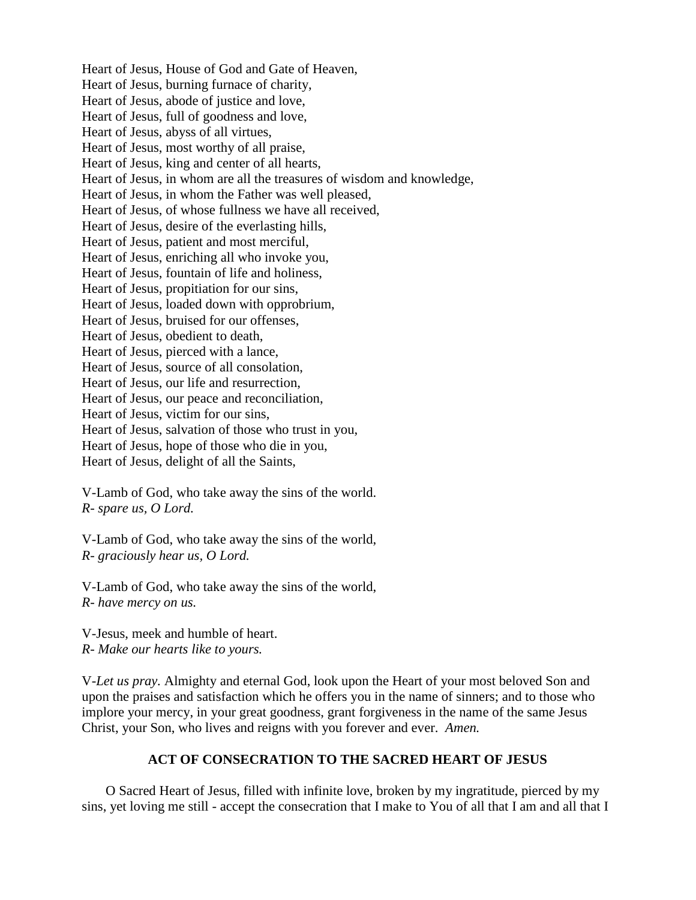Heart of Jesus, House of God and Gate of Heaven, Heart of Jesus, burning furnace of charity, Heart of Jesus, abode of justice and love, Heart of Jesus, full of goodness and love, Heart of Jesus, abyss of all virtues, Heart of Jesus, most worthy of all praise, Heart of Jesus, king and center of all hearts, Heart of Jesus, in whom are all the treasures of wisdom and knowledge, Heart of Jesus, in whom the Father was well pleased, Heart of Jesus, of whose fullness we have all received, Heart of Jesus, desire of the everlasting hills, Heart of Jesus, patient and most merciful, Heart of Jesus, enriching all who invoke you, Heart of Jesus, fountain of life and holiness, Heart of Jesus, propitiation for our sins, Heart of Jesus, loaded down with opprobrium, Heart of Jesus, bruised for our offenses, Heart of Jesus, obedient to death, Heart of Jesus, pierced with a lance, Heart of Jesus, source of all consolation, Heart of Jesus, our life and resurrection, Heart of Jesus, our peace and reconciliation, Heart of Jesus, victim for our sins, Heart of Jesus, salvation of those who trust in you, Heart of Jesus, hope of those who die in you, Heart of Jesus, delight of all the Saints,

V-Lamb of God, who take away the sins of the world. *R- spare us, O Lord.*

V-Lamb of God, who take away the sins of the world, *R- graciously hear us, O Lord.*

V-Lamb of God, who take away the sins of the world, *R- have mercy on us.*

V-Jesus, meek and humble of heart. *R- Make our hearts like to yours.*

V-*Let us pray.* Almighty and eternal God, look upon the Heart of your most beloved Son and upon the praises and satisfaction which he offers you in the name of sinners; and to those who implore your mercy, in your great goodness, grant forgiveness in the name of the same Jesus Christ, your Son, who lives and reigns with you forever and ever. *Amen.*

# **ACT OF CONSECRATION TO THE SACRED HEART OF JESUS**

 O Sacred Heart of Jesus, filled with infinite love, broken by my ingratitude, pierced by my sins, yet loving me still - accept the consecration that I make to You of all that I am and all that I